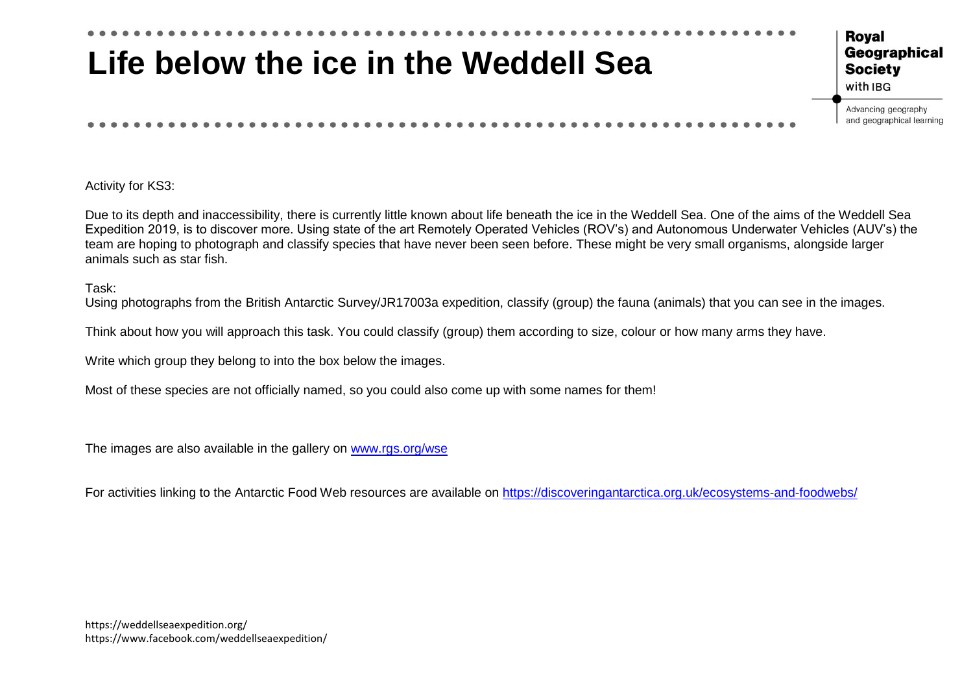

Activity for KS3:

Due to its depth and inaccessibility, there is currently little known about life beneath the ice in the Weddell Sea. One of the aims of the Weddell Sea Expedition 2019, is to discover more. Using state of the art Remotely Operated Vehicles (ROV's) and Autonomous Underwater Vehicles (AUV's) the team are hoping to photograph and classify species that have never been seen before. These might be very small organisms, alongside larger animals such as star fish.

Task:

Using photographs from the British Antarctic Survey/JR17003a expedition, classify (group) the fauna (animals) that you can see in the images.

Think about how you will approach this task. You could classify (group) them according to size, colour or how many arms they have.

Write which group they belong to into the box below the images.

Most of these species are not officially named, so you could also come up with some names for them!

The images are also available in the gallery on [www.rgs.org/wse](http://www.rgs.org/wse)

For activities linking to the Antarctic Food Web resources are available on<https://discoveringantarctica.org.uk/ecosystems-and-foodwebs/>